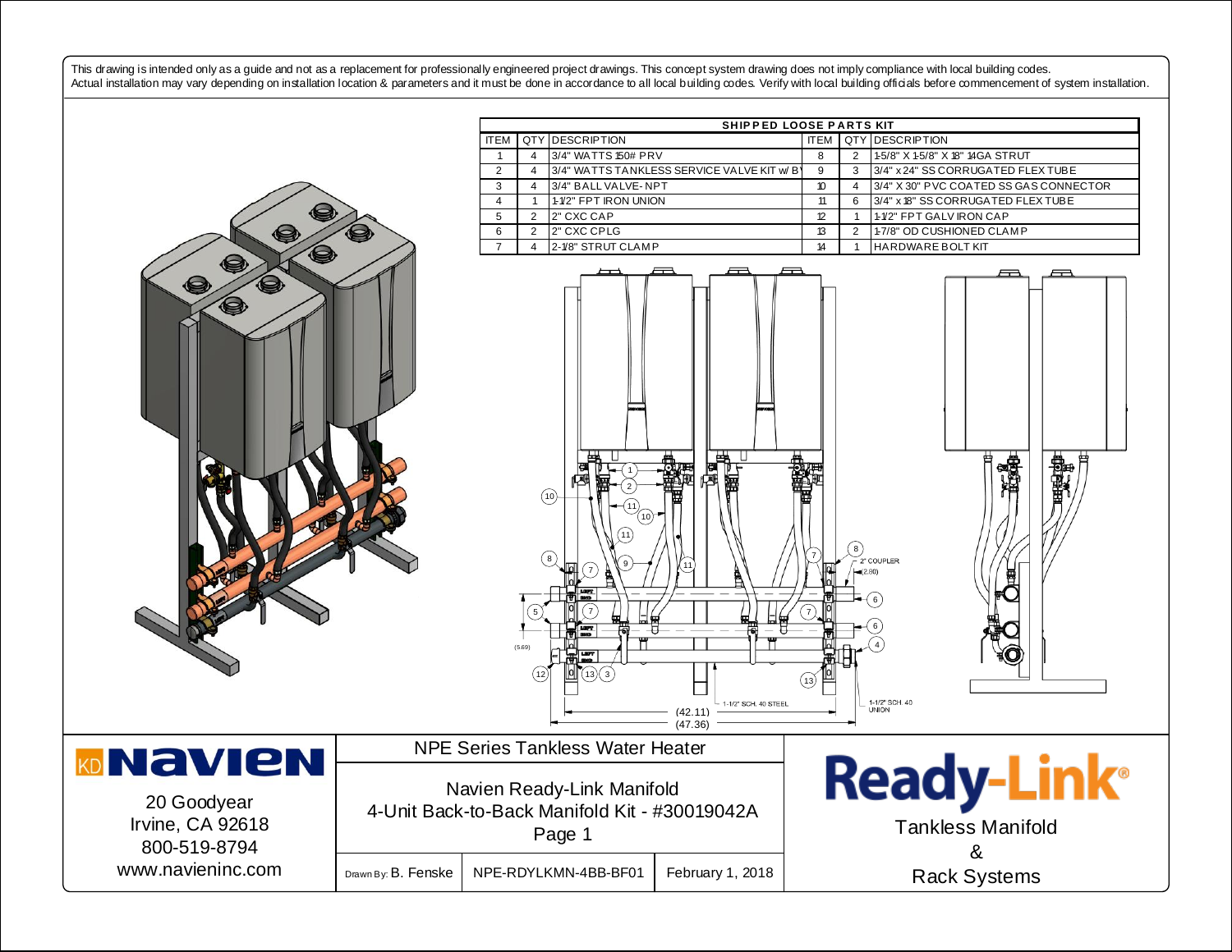This drawing is intended only as a guide and not as a replacement for professionally engineered project drawings. This concept system drawing does not imply compliance with local building codes. Actual installation may vary depending on installation location & parameters and it must be done in accordance to all local building codes. Verify with local building officials before commencement of system installation.

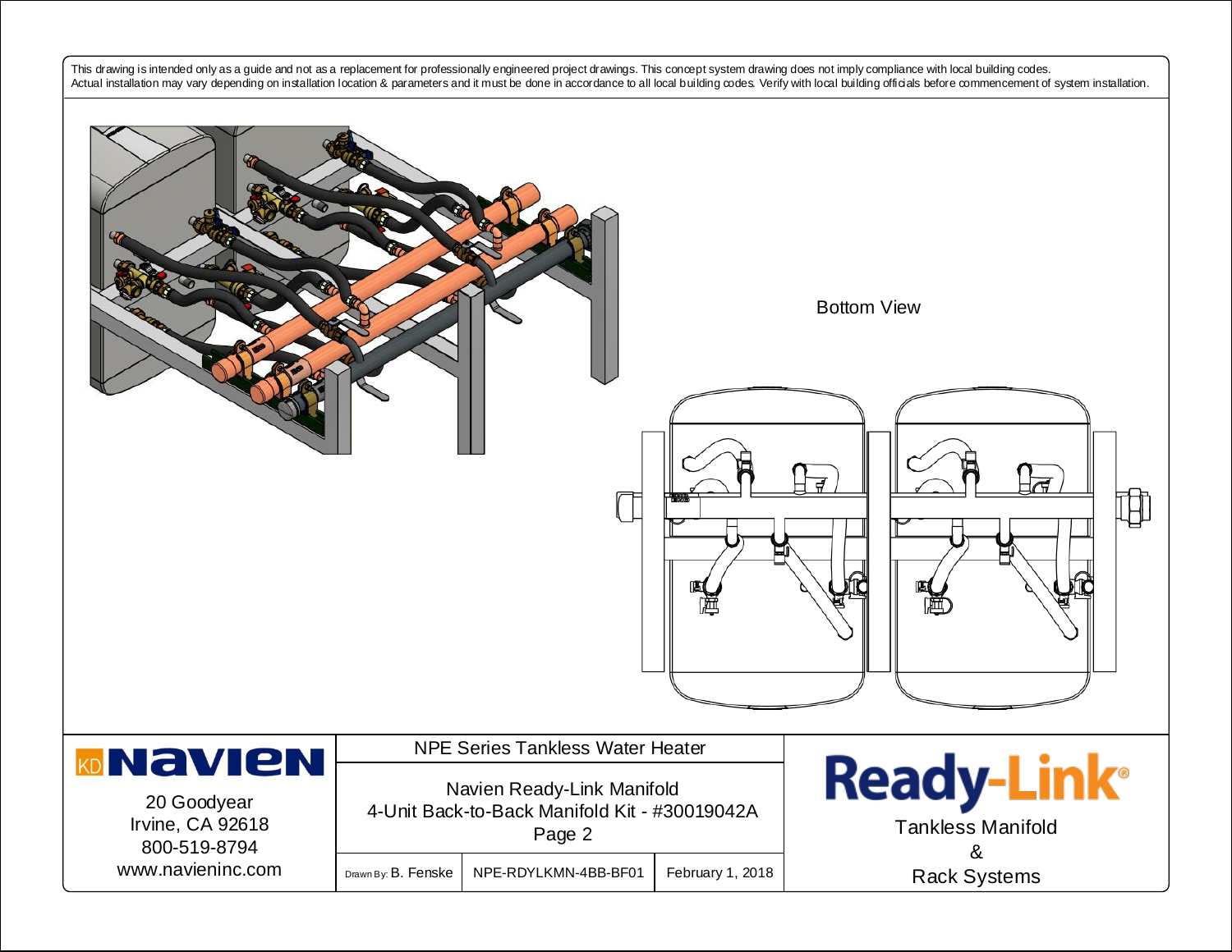